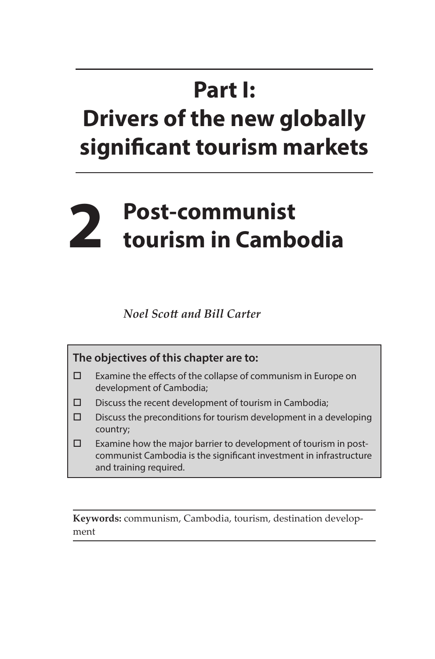## **Part I: Drivers of the new globally significant tourism markets**

## **2 Post-communist tourism in Cambodia**

*Noel Scott and Bill Carter*

**The objectives of this chapter are to:** 

- Examine the effects of the collapse of communism in Europe on development of Cambodia;
- $\square$  Discuss the recent development of tourism in Cambodia;
- $\square$  Discuss the preconditions for tourism development in a developing country;
- $\square$  Examine how the major barrier to development of tourism in postcommunist Cambodia is the significant investment in infrastructure and training required.

**Keywords:** communism, Cambodia, tourism, destination development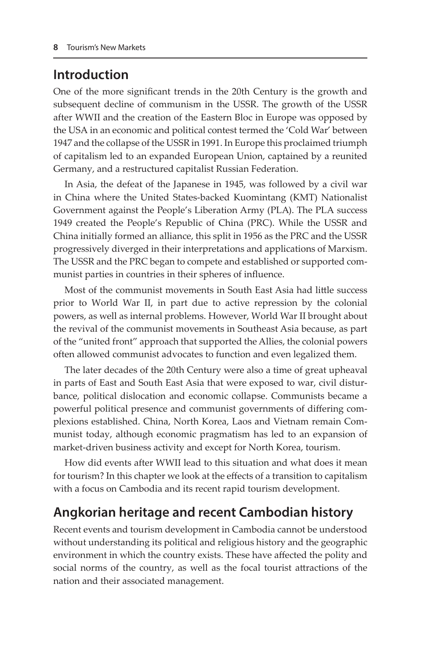## **Introduction**

One of the more significant trends in the 20th Century is the growth and subsequent decline of communism in the USSR. The growth of the USSR after WWII and the creation of the Eastern Bloc in Europe was opposed by the USA in an economic and political contest termed the 'Cold War' between 1947 and the collapse of the USSR in 1991. In Europe this proclaimed triumph of capitalism led to an expanded European Union, captained by a reunited Germany, and a restructured capitalist Russian Federation.

In Asia, the defeat of the Japanese in 1945, was followed by a civil war in China where the United States-backed Kuomintang (KMT) Nationalist Government against the People's Liberation Army (PLA). The PLA success 1949 created the People's Republic of China (PRC). While the USSR and China initially formed an alliance, this split in 1956 as the PRC and the USSR progressively diverged in their interpretations and applications of Marxism. The USSR and the PRC began to compete and established or supported communist parties in countries in their spheres of influence.

Most of the communist movements in South East Asia had little success prior to World War II, in part due to active repression by the colonial powers, as well as internal problems. However, World War II brought about the revival of the communist movements in Southeast Asia because, as part of the "united front" approach that supported the Allies, the colonial powers often allowed communist advocates to function and even legalized them.

The later decades of the 20th Century were also a time of great upheaval in parts of East and South East Asia that were exposed to war, civil disturbance, political dislocation and economic collapse. Communists became a powerful political presence and communist governments of differing complexions established. China, North Korea, Laos and Vietnam remain Communist today, although economic pragmatism has led to an expansion of market-driven business activity and except for North Korea, tourism.

How did events after WWII lead to this situation and what does it mean for tourism? In this chapter we look at the effects of a transition to capitalism with a focus on Cambodia and its recent rapid tourism development.

## **Angkorian heritage and recent Cambodian history**

Recent events and tourism development in Cambodia cannot be understood without understanding its political and religious history and the geographic environment in which the country exists. These have affected the polity and social norms of the country, as well as the focal tourist attractions of the nation and their associated management.